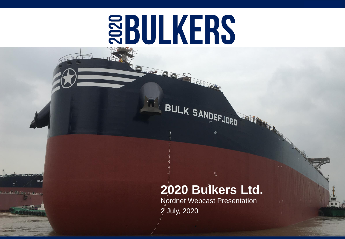# **SBULKERS**

**Olivert** 

┎┍╒╒╅┍╒╅╹**┪** 

## **2020 Bulkers Ltd.**

 $\vec{r}^{\rm R}_{\rm eff}$ 

BULK SANDEFJORD

Nordnet Webcast Presentation 2 July, 2020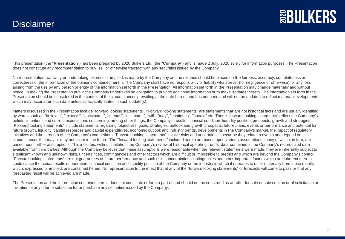This presentation (the "**Presentation**") has been prepared by 2020 Bulkers Ltd. (the "**Company**") and is made 2 July, 2020 solely for information purposes. The Presentation does not constitute any recommendation to buy, sell or otherwise transact with any securities issued by the Company.

No representation, warranty or undertaking, express or implied, is made by the Company and no reliance should be placed on the fairness, accuracy, completeness or correctness of the information or the opinions contained herein. The Company shall have no responsibility or liability whatsoever (for negligence or otherwise) for any loss arising from the use by any person or entity of the information set forth in the Presentation. All information set forth in the Presentation may change materially and without notice. In making the Presentation public the Company undertakes no obligation to provide additional information or to make updates thereto. The information set forth in the Presentation should be considered in the context of the circumstances prevailing at the date hereof and has not been and will not be updated to reflect material developments which may occur after such date unless specifically stated in such update(s).

Matters discussed in the Presentation include "forward looking statements". "Forward looking statements" are statements that are not historical facts and are usually identified by words such as "believes", "expects", "anticipates", "intends", "estimates", "will", "may", "continues", "should" etc. These "forward looking statements" reflect the Company's beliefs, intentions and current expectations concerning, among other things, the Company's results, financial condition, liquidity position, prospects, growth and strategies. "Forward looking statements" include statements regarding: objectives, goals, strategies, outlook and growth prospects, future plans, events or performance and potential for future growth, liquidity, capital resources and capital expenditures, economic outlook and industry trends, developments in the Company's market, the impact of regulatory initiatives and the strength of the Company's competitors. "Forward looking statements" involve risks and uncertainties because they relate to events and depend on circumstances that may or may not occur in the future. The "forward looking statements" included herein are based upon various assumptions, many of which, in turn, are based upon further assumptions. This includes, without limitation, the Company's review of historical operating trends, data contained in the Company's records and data available from third parties. Although the Company believes that these assumptions were reasonable when the relevant statements were made, they are inherently subject to significant known and unknown risks, uncertainties, contingencies and other factors which are difficult or impossible to predict and which are beyond the Company's control. "Forward looking statements" are not guarantees of future performance and such risks, uncertainties, contingencies and other important factors which are inherent thereto could cause the actual results of operation, financial condition and liquidity position of the Company or the industry in which it operates to differ materially from those results which, expressed or implied, are contained herein. No representation to the effect that at any of the "forward looking statements" or forecasts will come to pass or that any forecasted result will be achieved are made.

The Presentation and the information contained herein does not constitute or form a part of and should not be construed as an offer for sale or subscription or of solicitation or invitation of any offer to subscribe for or purchase any securities issued by the Company.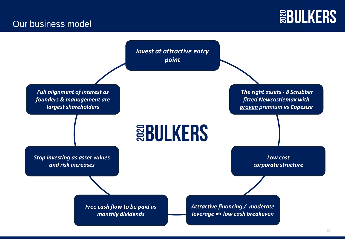

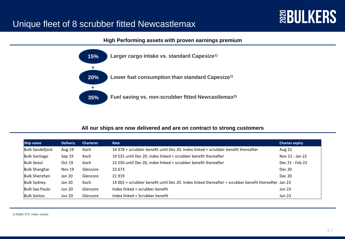### Unique fleet of 8 scrubber fitted Newcastlemax

# **EBULKERS**





#### **All our ships are now delivered and are on contract to strong customers**

| Ship name            | <b>Delivery</b> | <b>Charterer</b> | Rate                                                                                                 | <b>Charter expiry</b> |
|----------------------|-----------------|------------------|------------------------------------------------------------------------------------------------------|-----------------------|
| Bulk Sandefjord      | Aug 19          | Koch             | 14 378 + scrubber benefit until Dec 20. Index linked + scrubber benefit thereafter                   | Aug 22                |
| <b>Bulk Santiago</b> | Sep 19          | Koch             | 19 525 until Dec 20, index linked + scrubber benefit thereafter                                      | Nov 21 - Jan 22       |
| Bulk Seoul           | Oct 19          | Koch             | 22 250 until Dec 20, index linked + scrubber benefit thereafter                                      | Dec 21 - Feb 22       |
| Bulk Shanghai        | <b>Nov 19</b>   | Glencore         | 22 673                                                                                               | Dec 20                |
| Bulk Shenzhen        | Jan 20          | Glencore         | 21 9 19                                                                                              | Dec 20                |
| Bulk Sydney          | Jan 20          | Koch             | 14 002 + scrubber benefit until Dec 20. Index linked thereafter + scrubber benefit thereafter Jan 23 |                       |
| Bulk Sao Paulo       | <b>Jun 20</b>   | Glencore         | Index linked + scrubber benefit                                                                      | <b>Jun 23</b>         |
| <b>Bulk Santos</b>   | <b>Jun 20</b>   | Glencore         | Index linked + Scrubber benefit                                                                      | <b>Jun 23</b>         |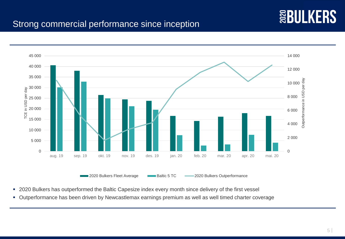# **SEBULKERS**

### Strong commercial performance since inception



- 2020 Bulkers has outperformed the Baltic Capesize index every month since delivery of the first vessel
- Outperformance has been driven by Newcastlemax earnings premium as well as well timed charter coverage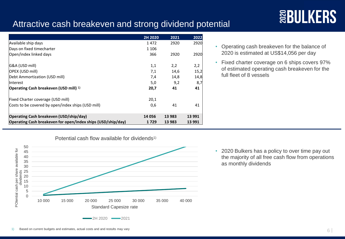## Attractive cash breakeven and strong dividend potential

|                                                              | 2H 2020 | 2021   | 2022   |
|--------------------------------------------------------------|---------|--------|--------|
| Available ship days                                          | 1472    | 2920   | 2920   |
| Days on fixed timecharter                                    | 1 1 0 6 |        |        |
| Open/index linked days                                       | 366     | 2920   | 2920   |
| G&A (USD mill)                                               | 1,1     | 2,2    | 2,2    |
| OPEX (USD mill)                                              | 7,1     | 14,6   | 15,2   |
| Debt Ammortization (USD mill)                                | 7,4     | 14,8   | 14,8   |
| lInterest                                                    | 5,0     | 9,2    | 8,7    |
| Operating Cash breakeven (USD mill) <sup>1)</sup>            | 20,7    | 41     | 41     |
| Fixed Charter coverage (USD mill)                            | 20,1    |        |        |
| Costs to be covered by open/index ships (USD mill)           | 0,6     | 41     | 41     |
| Operating Cash breakeven (USD/ship/day)                      | 14 056  | 13 983 | 13 991 |
| Operating Cash breakeven for open/index ships (USD/ship/day) | 1729    | 13 983 | 13 991 |

• Operating cash breakeven for the balance of 2020 is estimated at US\$14,056 per day

**SEBULKERS** 

• Fixed charter coverage on 6 ships covers 97% of estimated operating cash breakeven for the full fleet of 8 vessels



• 2020 Bulkers has a policy to over time pay out the majority of all free cash flow from operations as monthly dividends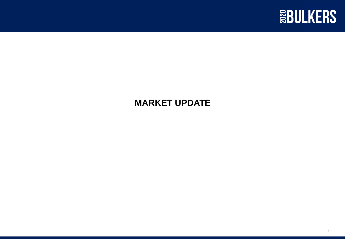

## **MARKET UPDATE**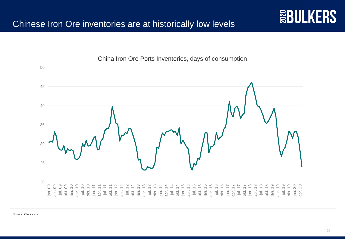

**ERULKERS**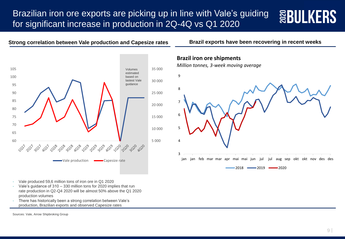#### Brazilian iron ore exports are picking up in line with Vale's guiding **EBULKERS** for significant increase in production in 2Q-4Q vs Q1 2020

#### **Strong correlation between Vale production and Capesize rates Brazil exports have been recovering in recent weeks**



- Vale produced 59,6 million tons of iron ore in Q1 2020
- Vale's guidance of 310 330 million tons for 2020 implies that run rate production in Q2-Q4 2020 will be almost 50% above the Q1 2020 production volumes
- There has historically been a strong correlation between Vale's production, Brazilian exports and observed Capesize rates

Sources: Vale, Arrow Shipbroking Group

#### **Brazil iron ore shipments**

*Million tonnes, 3-week moving average*

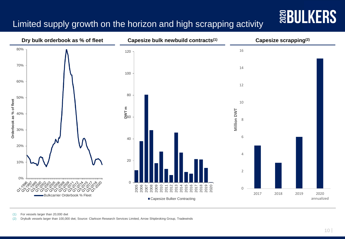## Limited supply growth on the horizon and high scrapping activity



(1) For vessels larger than 20,000 dwt

(2) Drybulk vessels larger than 100,000 dwt, Source: Clarkson Research Services Limited, Arrow Shipbroking Group, Tradewinds

**EBULKERS**